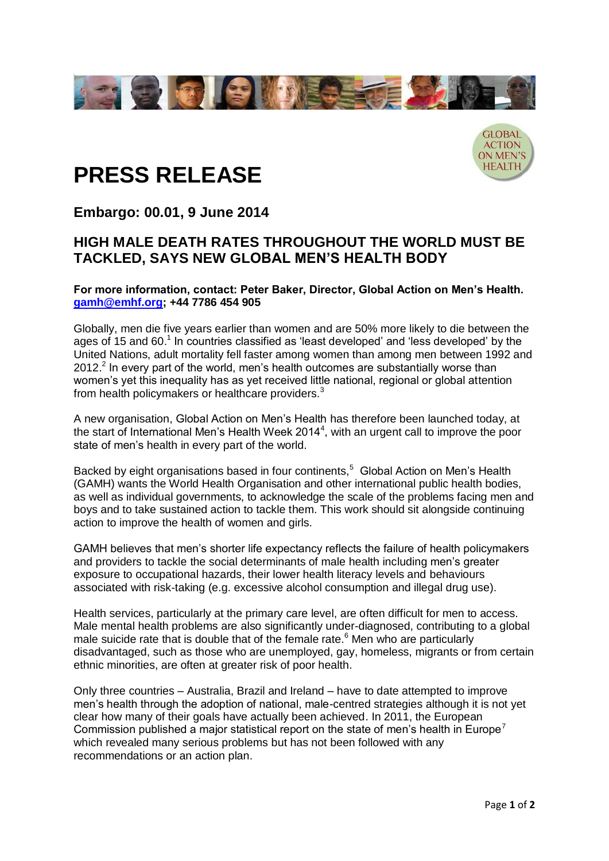



# **PRESS RELEASE**

## **Embargo: 00.01, 9 June 2014**

### **HIGH MALE DEATH RATES THROUGHOUT THE WORLD MUST BE TACKLED, SAYS NEW GLOBAL MEN'S HEALTH BODY**

**For more information, contact: Peter Baker, Director, Global Action on Men's Health. [gamh@emhf.org;](mailto:gamh@emhf.org) +44 7786 454 905**

Globally, men die five years earlier than women and are 50% more likely to die between the ages of 15 and 60.<sup>1</sup> In countries classified as 'least developed' and 'less developed' by the United Nations, adult mortality fell faster among women than among men between 1992 and  $2012<sup>2</sup>$  In every part of the world, men's health outcomes are substantially worse than women's yet this inequality has as yet received little national, regional or global attention from health policymakers or healthcare providers.<sup>3</sup>

A new organisation, Global Action on Men's Health has therefore been launched today, at the start of International Men's Health Week 2014<sup>4</sup>, with an urgent call to improve the poor state of men's health in every part of the world.

Backed by eight organisations based in four continents,<sup>5</sup> Global Action on Men's Health (GAMH) wants the World Health Organisation and other international public health bodies, as well as individual governments, to acknowledge the scale of the problems facing men and boys and to take sustained action to tackle them. This work should sit alongside continuing action to improve the health of women and girls.

GAMH believes that men's shorter life expectancy reflects the failure of health policymakers and providers to tackle the social determinants of male health including men's greater exposure to occupational hazards, their lower health literacy levels and behaviours associated with risk-taking (e.g. excessive alcohol consumption and illegal drug use).

Health services, particularly at the primary care level, are often difficult for men to access. Male mental health problems are also significantly under-diagnosed, contributing to a global male suicide rate that is double that of the female rate.<sup>6</sup> Men who are particularly disadvantaged, such as those who are unemployed, gay, homeless, migrants or from certain ethnic minorities, are often at greater risk of poor health.

Only three countries – Australia, Brazil and Ireland – have to date attempted to improve men's health through the adoption of national, male-centred strategies although it is not yet clear how many of their goals have actually been achieved. In 2011, the European Commission published a major statistical report on the state of men's health in Europe<sup>7</sup> which revealed many serious problems but has not been followed with any recommendations or an action plan.